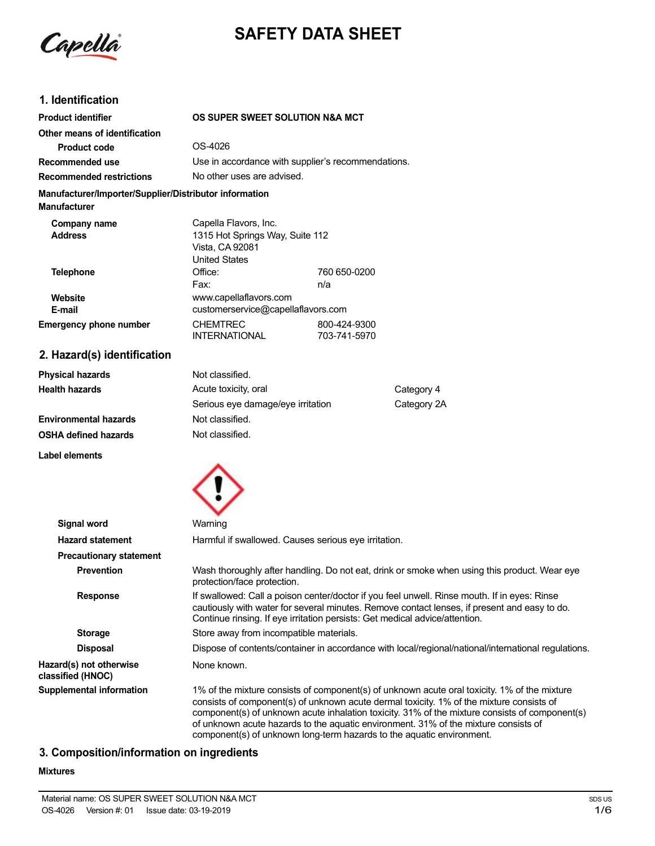

# **SAFETY DATA SHEET**

## **1. Identification**

| <b>Product identifier</b>                                                     | OS SUPER SWEET SOLUTION N&A MCT                                                                     |                              |  |
|-------------------------------------------------------------------------------|-----------------------------------------------------------------------------------------------------|------------------------------|--|
| Other means of identification                                                 |                                                                                                     |                              |  |
| Product code                                                                  | OS-4026                                                                                             |                              |  |
| Recommended use                                                               | Use in accordance with supplier's recommendations.                                                  |                              |  |
| <b>Recommended restrictions</b>                                               | No other uses are advised.                                                                          |                              |  |
| Manufacturer/Importer/Supplier/Distributor information<br><b>Manufacturer</b> |                                                                                                     |                              |  |
| Company name<br><b>Address</b>                                                | Capella Flavors, Inc.<br>1315 Hot Springs Way, Suite 112<br>Vista, CA 92081<br><b>United States</b> |                              |  |
| <b>Telephone</b>                                                              | Office:<br>Fax:                                                                                     | 760 650-0200<br>n/a          |  |
| Website<br>E-mail                                                             | www.capellaflavors.com<br>customerservice@capellaflavors.com                                        |                              |  |
| <b>Emergency phone number</b>                                                 | <b>CHEMTREC</b><br><b>INTERNATIONAL</b>                                                             | 800-424-9300<br>703-741-5970 |  |
| 2. Hazard(s) identification                                                   |                                                                                                     |                              |  |

| <b>Physical hazards</b>      | Not classified.                   |             |
|------------------------------|-----------------------------------|-------------|
| <b>Health hazards</b>        | Acute toxicity, oral              | Category 4  |
|                              | Serious eye damage/eye irritation | Category 2A |
| <b>Environmental hazards</b> | Not classified.                   |             |
| <b>OSHA defined hazards</b>  | Not classified.                   |             |

**Label elements**



| <b>Signal word</b>                           | Warning                                                                                                                                                                                                                                                                                                                                                                                                                                                    |  |  |
|----------------------------------------------|------------------------------------------------------------------------------------------------------------------------------------------------------------------------------------------------------------------------------------------------------------------------------------------------------------------------------------------------------------------------------------------------------------------------------------------------------------|--|--|
| <b>Hazard statement</b>                      | Harmful if swallowed. Causes serious eye irritation.                                                                                                                                                                                                                                                                                                                                                                                                       |  |  |
| <b>Precautionary statement</b>               |                                                                                                                                                                                                                                                                                                                                                                                                                                                            |  |  |
| <b>Prevention</b>                            | Wash thoroughly after handling. Do not eat, drink or smoke when using this product. Wear eye<br>protection/face protection.                                                                                                                                                                                                                                                                                                                                |  |  |
| <b>Response</b>                              | If swallowed: Call a poison center/doctor if you feel unwell. Rinse mouth. If in eyes: Rinse<br>cautiously with water for several minutes. Remove contact lenses, if present and easy to do.<br>Continue rinsing. If eye irritation persists: Get medical advice/attention.                                                                                                                                                                                |  |  |
| <b>Storage</b>                               | Store away from incompatible materials.                                                                                                                                                                                                                                                                                                                                                                                                                    |  |  |
| <b>Disposal</b>                              | Dispose of contents/container in accordance with local/regional/national/international regulations.                                                                                                                                                                                                                                                                                                                                                        |  |  |
| Hazard(s) not otherwise<br>classified (HNOC) | None known.                                                                                                                                                                                                                                                                                                                                                                                                                                                |  |  |
| <b>Supplemental information</b>              | 1% of the mixture consists of component(s) of unknown acute oral toxicity. 1% of the mixture<br>consists of component(s) of unknown acute dermal toxicity. 1% of the mixture consists of<br>component(s) of unknown acute inhalation toxicity. 31% of the mixture consists of component(s)<br>of unknown acute hazards to the aquatic environment. 31% of the mixture consists of<br>component(s) of unknown long-term hazards to the aquatic environment. |  |  |

# **3. Composition/information on ingredients**

**Mixtures**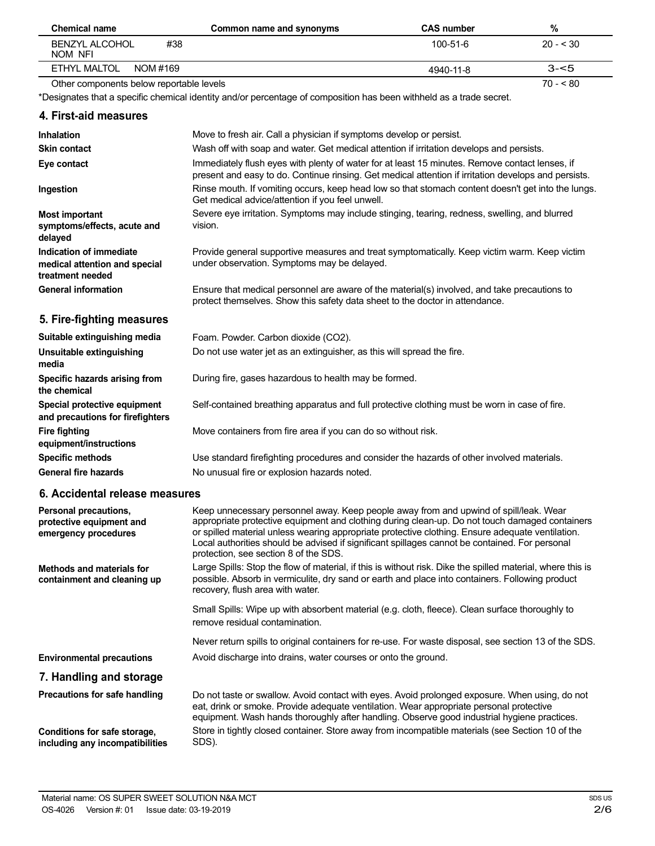| Chemical name                            | Common name and synonyms | <b>CAS number</b> | %         |
|------------------------------------------|--------------------------|-------------------|-----------|
| #38<br>BENZYL ALCOHOL<br>NOM NFI         |                          | 100-51-6          | $20 - 30$ |
| ETHYL MALTOL<br>NOM #169                 |                          | 4940-11-8         | $3 - 5$   |
| Other components below reportable levels |                          |                   | $70 - 80$ |

Other components below reportable levels

\*Designates that a specific chemical identity and/or percentage of composition has been withheld as a trade secret.

## **4. First-aid measures**

| <b>Inhalation</b>                                                | Move to fresh air. Call a physician if symptoms develop or persist.                                                                                                                                    |
|------------------------------------------------------------------|--------------------------------------------------------------------------------------------------------------------------------------------------------------------------------------------------------|
| <b>Skin contact</b>                                              | Wash off with soap and water. Get medical attention if irritation develops and persists.                                                                                                               |
| Eye contact                                                      | Immediately flush eyes with plenty of water for at least 15 minutes. Remove contact lenses, if<br>present and easy to do. Continue rinsing. Get medical attention if irritation develops and persists. |
| Ingestion                                                        | Rinse mouth. If vomiting occurs, keep head low so that stomach content doesn't get into the lungs.<br>Get medical advice/attention if you feel unwell.                                                 |
| <b>Most important</b>                                            | Severe eye irritation. Symptoms may include stinging, tearing, redness, swelling, and blurred                                                                                                          |
| symptoms/effects, acute and<br>delayed                           | vision.                                                                                                                                                                                                |
| Indication of immediate                                          | Provide general supportive measures and treat symptomatically. Keep victim warm. Keep victim                                                                                                           |
| medical attention and special<br>treatment needed                | under observation. Symptoms may be delayed.                                                                                                                                                            |
| <b>General information</b>                                       | Ensure that medical personnel are aware of the material(s) involved, and take precautions to<br>protect themselves. Show this safety data sheet to the doctor in attendance.                           |
| 5. Fire-fighting measures                                        |                                                                                                                                                                                                        |
| Suitable extinguishing media                                     | Foam. Powder. Carbon dioxide (CO2).                                                                                                                                                                    |
| Unsuitable extinguishing<br>media                                | Do not use water jet as an extinguisher, as this will spread the fire.                                                                                                                                 |
| Specific hazards arising from<br>the chemical                    | During fire, gases hazardous to health may be formed.                                                                                                                                                  |
| Special protective equipment<br>and precautions for firefighters | Self-contained breathing apparatus and full protective clothing must be worn in case of fire.                                                                                                          |
| <b>Fire fighting</b><br>equipment/instructions                   | Move containers from fire area if you can do so without risk.                                                                                                                                          |
| <b>Specific methods</b>                                          | Use standard firefighting procedures and consider the hazards of other involved materials.                                                                                                             |
| <b>General fire hazards</b>                                      | No unusual fire or explosion hazards noted.                                                                                                                                                            |

## **6. Accidental release measures**

| Personal precautions,<br>protective equipment and<br>emergency procedures | Keep unnecessary personnel away. Keep people away from and upwind of spill/leak. Wear<br>appropriate protective equipment and clothing during clean-up. Do not touch damaged containers<br>or spilled material unless wearing appropriate protective clothing. Ensure adequate ventilation.<br>Local authorities should be advised if significant spillages cannot be contained. For personal<br>protection, see section 8 of the SDS. |
|---------------------------------------------------------------------------|----------------------------------------------------------------------------------------------------------------------------------------------------------------------------------------------------------------------------------------------------------------------------------------------------------------------------------------------------------------------------------------------------------------------------------------|
| Methods and materials for<br>containment and cleaning up                  | Large Spills: Stop the flow of material, if this is without risk. Dike the spilled material, where this is<br>possible. Absorb in vermiculite, dry sand or earth and place into containers. Following product<br>recovery, flush area with water.                                                                                                                                                                                      |
|                                                                           | Small Spills: Wipe up with absorbent material (e.g. cloth, fleece). Clean surface thoroughly to<br>remove residual contamination.                                                                                                                                                                                                                                                                                                      |
|                                                                           | Never return spills to original containers for re-use. For waste disposal, see section 13 of the SDS.                                                                                                                                                                                                                                                                                                                                  |
| <b>Environmental precautions</b>                                          | Avoid discharge into drains, water courses or onto the ground.                                                                                                                                                                                                                                                                                                                                                                         |
| 7. Handling and storage                                                   |                                                                                                                                                                                                                                                                                                                                                                                                                                        |
| Precautions for safe handling                                             | Do not taste or swallow. Avoid contact with eyes. Avoid prolonged exposure. When using, do not<br>eat, drink or smoke. Provide adequate ventilation. Wear appropriate personal protective<br>equipment. Wash hands thoroughly after handling. Observe good industrial hygiene practices.                                                                                                                                               |
| Conditions for safe storage,<br>including any incompatibilities           | Store in tightly closed container. Store away from incompatible materials (see Section 10 of the<br>SDS).                                                                                                                                                                                                                                                                                                                              |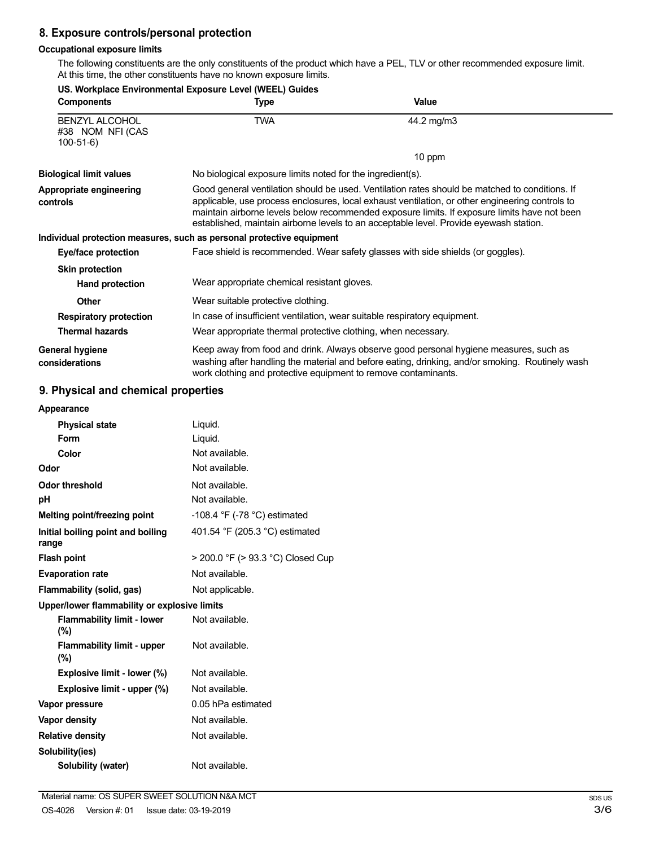# **8. Exposure controls/personal protection**

## **Occupational exposure limits**

The following constituents are the only constituents of the product which have a PEL, TLV or other recommended exposure limit. At this time, the other constituents have no known exposure limits.

| US. Workplace Environmental Exposure Level (WEEL) Guides |                                                                                                                                                                                                                                                                                                                                                                                             |                                                                                                                                                                                          |
|----------------------------------------------------------|---------------------------------------------------------------------------------------------------------------------------------------------------------------------------------------------------------------------------------------------------------------------------------------------------------------------------------------------------------------------------------------------|------------------------------------------------------------------------------------------------------------------------------------------------------------------------------------------|
| <b>Components</b>                                        | Type                                                                                                                                                                                                                                                                                                                                                                                        | <b>Value</b>                                                                                                                                                                             |
| <b>BENZYL ALCOHOL</b><br>#38 NOM NFI (CAS<br>$100-51-6$  | <b>TWA</b>                                                                                                                                                                                                                                                                                                                                                                                  | 44.2 mg/m3                                                                                                                                                                               |
|                                                          |                                                                                                                                                                                                                                                                                                                                                                                             | 10 ppm                                                                                                                                                                                   |
| <b>Biological limit values</b>                           | No biological exposure limits noted for the ingredient(s).                                                                                                                                                                                                                                                                                                                                  |                                                                                                                                                                                          |
| Appropriate engineering<br>controls                      | Good general ventilation should be used. Ventilation rates should be matched to conditions. If<br>applicable, use process enclosures, local exhaust ventilation, or other engineering controls to<br>maintain airborne levels below recommended exposure limits. If exposure limits have not been<br>established, maintain airborne levels to an acceptable level. Provide eyewash station. |                                                                                                                                                                                          |
|                                                          | Individual protection measures, such as personal protective equipment                                                                                                                                                                                                                                                                                                                       |                                                                                                                                                                                          |
| Eye/face protection                                      | Face shield is recommended. Wear safety glasses with side shields (or goggles).                                                                                                                                                                                                                                                                                                             |                                                                                                                                                                                          |
| <b>Skin protection</b>                                   |                                                                                                                                                                                                                                                                                                                                                                                             |                                                                                                                                                                                          |
| Hand protection                                          | Wear appropriate chemical resistant gloves.                                                                                                                                                                                                                                                                                                                                                 |                                                                                                                                                                                          |
| <b>Other</b>                                             | Wear suitable protective clothing.                                                                                                                                                                                                                                                                                                                                                          |                                                                                                                                                                                          |
| <b>Respiratory protection</b>                            | In case of insufficient ventilation, wear suitable respiratory equipment.                                                                                                                                                                                                                                                                                                                   |                                                                                                                                                                                          |
| <b>Thermal hazards</b>                                   | Wear appropriate thermal protective clothing, when necessary.                                                                                                                                                                                                                                                                                                                               |                                                                                                                                                                                          |
| General hygiene<br>considerations                        | work clothing and protective equipment to remove contaminants.                                                                                                                                                                                                                                                                                                                              | Keep away from food and drink. Always observe good personal hygiene measures, such as<br>washing after handling the material and before eating, drinking, and/or smoking. Routinely wash |

## **9. Physical and chemical properties**

| Appearance                                   |                                                |
|----------------------------------------------|------------------------------------------------|
| <b>Physical state</b>                        | Liquid.                                        |
| Form                                         | Liquid.                                        |
| Color                                        | Not available.                                 |
| Odor                                         | Not available.                                 |
| <b>Odor threshold</b>                        | Not available.                                 |
| рH                                           | Not available.                                 |
| Melting point/freezing point                 | -108.4 $\degree$ F (-78 $\degree$ C) estimated |
| Initial boiling point and boiling<br>range   | 401.54 °F (205.3 °C) estimated                 |
| <b>Flash point</b>                           | > 200.0 °F (> 93.3 °C) Closed Cup              |
| <b>Evaporation rate</b>                      | Not available.                                 |
| Flammability (solid, gas)                    | Not applicable.                                |
| Upper/lower flammability or explosive limits |                                                |
| <b>Flammability limit - lower</b><br>(%)     | Not available.                                 |
| <b>Flammability limit - upper</b><br>$(\%)$  | Not available.                                 |
| Explosive limit - lower (%)                  | Not available.                                 |
| Explosive limit - upper (%)                  | Not available.                                 |
| Vapor pressure                               | 0.05 hPa estimated                             |
| Vapor density                                | Not available.                                 |
| <b>Relative density</b>                      | Not available.                                 |
| Solubility(ies)                              |                                                |
| Solubility (water)                           | Not available.                                 |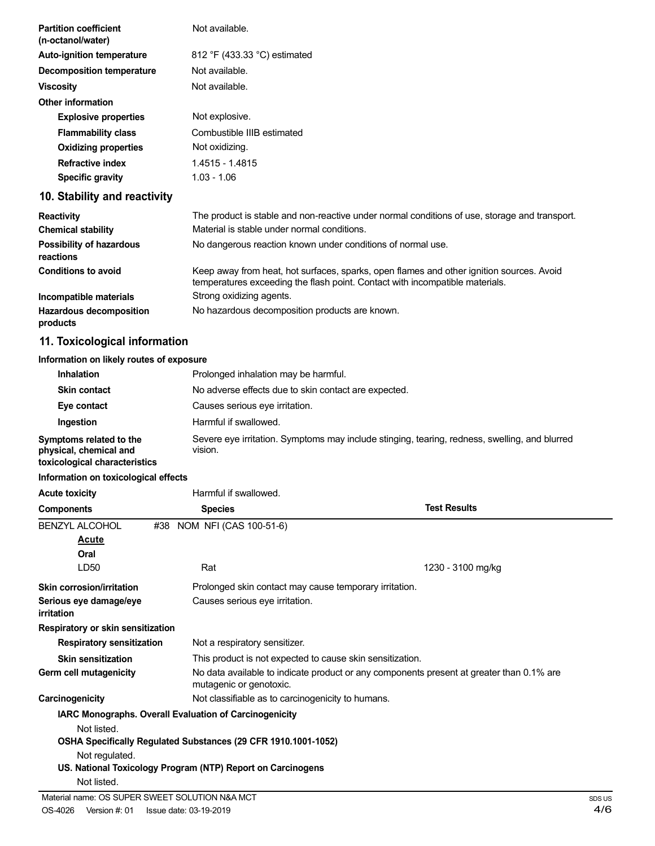| <b>Partition coefficient</b><br>(n-octanol/water) | Not available.                                                                                                                                                           |
|---------------------------------------------------|--------------------------------------------------------------------------------------------------------------------------------------------------------------------------|
| <b>Auto-ignition temperature</b>                  | 812 °F (433.33 °C) estimated                                                                                                                                             |
| <b>Decomposition temperature</b>                  | Not available.                                                                                                                                                           |
| <b>Viscosity</b>                                  | Not available.                                                                                                                                                           |
| <b>Other information</b>                          |                                                                                                                                                                          |
| <b>Explosive properties</b>                       | Not explosive.                                                                                                                                                           |
| <b>Flammability class</b>                         | Combustible IIIB estimated                                                                                                                                               |
| <b>Oxidizing properties</b>                       | Not oxidizing.                                                                                                                                                           |
| <b>Refractive index</b>                           | 1.4515 - 1.4815                                                                                                                                                          |
| <b>Specific gravity</b>                           | $1.03 - 1.06$                                                                                                                                                            |
| 10. Stability and reactivity                      |                                                                                                                                                                          |
| <b>Reactivity</b>                                 | The product is stable and non-reactive under normal conditions of use, storage and transport.                                                                            |
| <b>Chemical stability</b>                         | Material is stable under normal conditions.                                                                                                                              |
| Possibility of hazardous<br>reactions             | No dangerous reaction known under conditions of normal use.                                                                                                              |
| <b>Conditions to avoid</b>                        | Keep away from heat, hot surfaces, sparks, open flames and other ignition sources. Avoid<br>temperatures exceeding the flash point. Contact with incompatible materials. |
| Incompatible materials                            | Strong oxidizing agents.                                                                                                                                                 |
| <b>Hazardous decomposition</b><br>products        | No hazardous decomposition products are known.                                                                                                                           |
| 11. Toxicological information                     |                                                                                                                                                                          |

## **Information on likely routes of exposure**

| <b>Inhalation</b>                                                                  | Prolonged inhalation may be harmful.                                                                     |  |
|------------------------------------------------------------------------------------|----------------------------------------------------------------------------------------------------------|--|
| <b>Skin contact</b>                                                                | No adverse effects due to skin contact are expected.                                                     |  |
| Eye contact                                                                        | Causes serious eye irritation.                                                                           |  |
| Ingestion                                                                          | Harmful if swallowed.                                                                                    |  |
| Symptoms related to the<br>physical, chemical and<br>toxicological characteristics | Severe eye irritation. Symptoms may include stinging, tearing, redness, swelling, and blurred<br>vision. |  |

## **Information on toxicological effects**

| <b>Acute toxicity</b>                | Harmful if swallowed.                                          |                                                                                          |  |
|--------------------------------------|----------------------------------------------------------------|------------------------------------------------------------------------------------------|--|
| <b>Components</b>                    | <b>Species</b>                                                 | <b>Test Results</b>                                                                      |  |
| <b>BENZYL ALCOHOL</b>                | #38 NOM NFI (CAS 100-51-6)                                     |                                                                                          |  |
| <u>Acute</u>                         |                                                                |                                                                                          |  |
| Oral                                 |                                                                |                                                                                          |  |
| LD <sub>50</sub>                     | Rat                                                            | 1230 - 3100 mg/kg                                                                        |  |
| <b>Skin corrosion/irritation</b>     | Prolonged skin contact may cause temporary irritation.         |                                                                                          |  |
| Serious eye damage/eye<br>irritation | Causes serious eye irritation.                                 |                                                                                          |  |
| Respiratory or skin sensitization    |                                                                |                                                                                          |  |
| <b>Respiratory sensitization</b>     | Not a respiratory sensitizer.                                  |                                                                                          |  |
| <b>Skin sensitization</b>            | This product is not expected to cause skin sensitization.      |                                                                                          |  |
| Germ cell mutagenicity               | mutagenic or genotoxic.                                        | No data available to indicate product or any components present at greater than 0.1% are |  |
| Carcinogenicity                      | Not classifiable as to carcinogenicity to humans.              |                                                                                          |  |
|                                      | IARC Monographs. Overall Evaluation of Carcinogenicity         |                                                                                          |  |
| Not listed.                          |                                                                |                                                                                          |  |
|                                      | OSHA Specifically Regulated Substances (29 CFR 1910.1001-1052) |                                                                                          |  |
| Not regulated.                       |                                                                |                                                                                          |  |
|                                      | US. National Toxicology Program (NTP) Report on Carcinogens    |                                                                                          |  |
| Not listed.                          |                                                                |                                                                                          |  |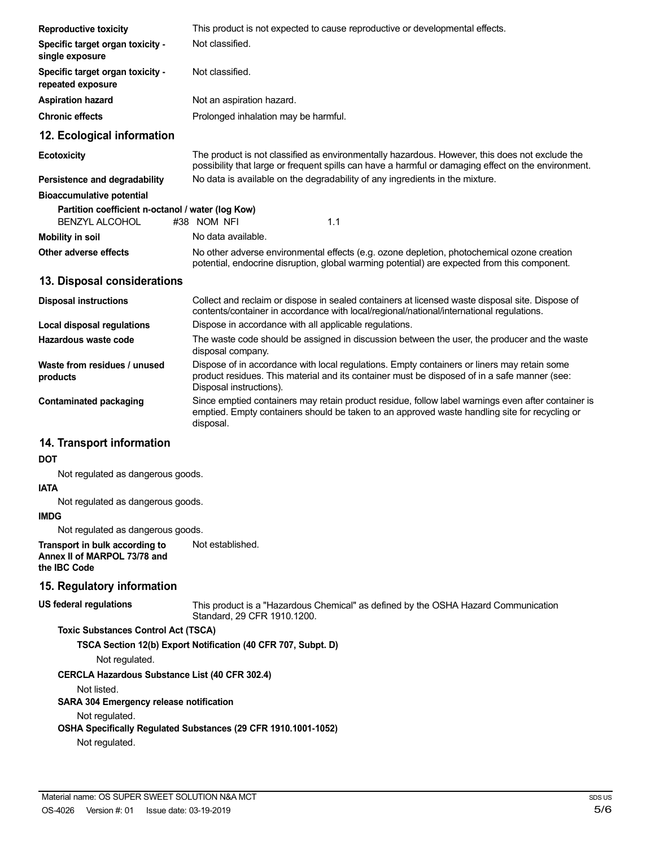| <b>Reproductive toxicity</b>                                               | This product is not expected to cause reproductive or developmental effects.                                                                                                                                           |  |  |
|----------------------------------------------------------------------------|------------------------------------------------------------------------------------------------------------------------------------------------------------------------------------------------------------------------|--|--|
| Specific target organ toxicity -<br>single exposure                        | Not classified.                                                                                                                                                                                                        |  |  |
| Specific target organ toxicity -<br>repeated exposure                      | Not classified.                                                                                                                                                                                                        |  |  |
| <b>Aspiration hazard</b>                                                   | Not an aspiration hazard.                                                                                                                                                                                              |  |  |
| <b>Chronic effects</b>                                                     | Prolonged inhalation may be harmful.                                                                                                                                                                                   |  |  |
| 12. Ecological information                                                 |                                                                                                                                                                                                                        |  |  |
| <b>Ecotoxicity</b>                                                         | The product is not classified as environmentally hazardous. However, this does not exclude the<br>possibility that large or frequent spills can have a harmful or damaging effect on the environment.                  |  |  |
| Persistence and degradability                                              | No data is available on the degradability of any ingredients in the mixture.                                                                                                                                           |  |  |
| <b>Bioaccumulative potential</b>                                           |                                                                                                                                                                                                                        |  |  |
| Partition coefficient n-octanol / water (log Kow)<br><b>BENZYL ALCOHOL</b> | 1.1<br>#38 NOM NFI                                                                                                                                                                                                     |  |  |
| <b>Mobility in soil</b>                                                    | No data available.                                                                                                                                                                                                     |  |  |
| Other adverse effects                                                      | No other adverse environmental effects (e.g. ozone depletion, photochemical ozone creation<br>potential, endocrine disruption, global warming potential) are expected from this component.                             |  |  |
| 13. Disposal considerations                                                |                                                                                                                                                                                                                        |  |  |
| <b>Disposal instructions</b>                                               | Collect and reclaim or dispose in sealed containers at licensed waste disposal site. Dispose of<br>contents/container in accordance with local/regional/national/international regulations.                            |  |  |
| Local disposal regulations                                                 | Dispose in accordance with all applicable regulations.                                                                                                                                                                 |  |  |
| Hazardous waste code                                                       | The waste code should be assigned in discussion between the user, the producer and the waste<br>disposal company.                                                                                                      |  |  |
| Waste from residues / unused<br>products                                   | Dispose of in accordance with local regulations. Empty containers or liners may retain some<br>product residues. This material and its container must be disposed of in a safe manner (see:<br>Disposal instructions). |  |  |
| <b>Contaminated packaging</b>                                              | Since emptied containers may retain product residue, follow label warnings even after container is<br>emptied. Empty containers should be taken to an approved waste handling site for recycling or<br>disposal.       |  |  |
| 14. Transport information                                                  |                                                                                                                                                                                                                        |  |  |
| <b>DOT</b>                                                                 |                                                                                                                                                                                                                        |  |  |
| Not requisited as dangerous goods                                          |                                                                                                                                                                                                                        |  |  |

Not regulated as dangerous goods.

**IATA** Not regulated as dangerous goods.

**IMDG**

Not regulated as dangerous goods.

**Transport in bulk according to Annex II of MARPOL 73/78 and the IBC Code** Not established.

## **15. Regulatory information**

#### **US federal regulations**

This product is a "Hazardous Chemical" as defined by the OSHA Hazard Communication Standard, 29 CFR 1910.1200.

**Toxic Substances Control Act (TSCA)**

**TSCA Section 12(b) Export Notification (40 CFR 707, Subpt. D)**

Not regulated.

**CERCLA Hazardous Substance List (40 CFR 302.4)**

Not listed.

**SARA 304 Emergency release notification**

Not regulated.

**OSHA Specifically Regulated Substances (29 CFR 1910.1001-1052)**

Not regulated.